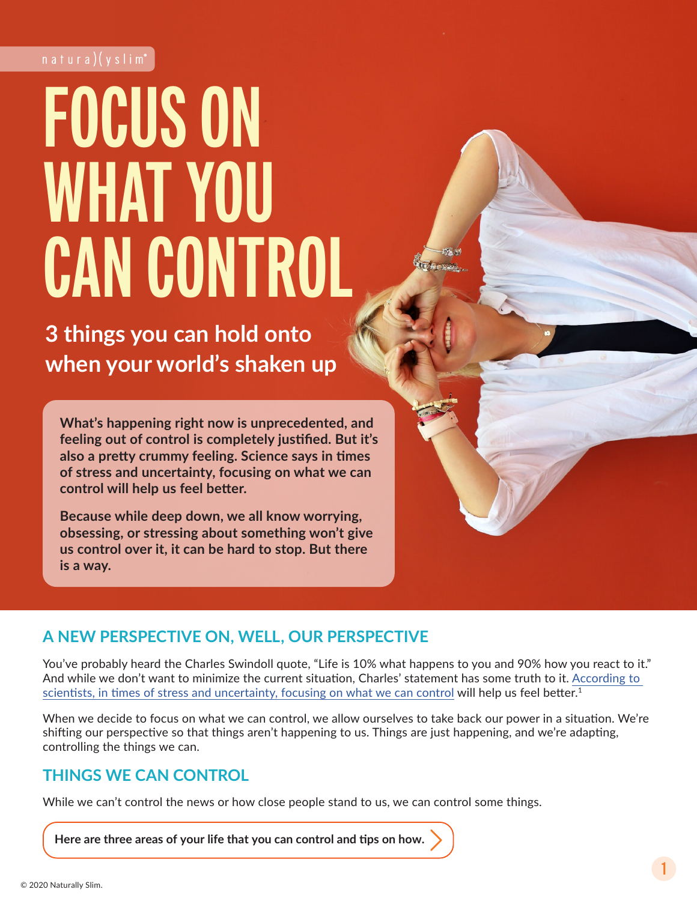# **FOCUS ON WHAT YOU CAN CONTROL**

**3 things you can hold onto when your world's shaken up**

**What's happening right now is unprecedented, and feeling out of control is completely justified. But it's also a pretty crummy feeling. Science says in times of stress and uncertainty, focusing on what we can control will help us feel better.** 

**Because while deep down, we all know worrying, obsessing, or stressing about something won't give us control over it, it can be hard to stop. But there is a way.**

# **A NEW PERSPECTIVE ON, WELL, OUR PERSPECTIVE**

You've probably heard the Charles Swindoll quote, "Life is 10% what happens to you and 90% how you react to it." And while we don't want to minimize the current situation, Charles' statement has some truth to it. [According to](https://www.psychologytoday.com/us/blog/bouncing-back/201106/the-no-1-contributor-happiness)  [scientists, in times of stress and uncertainty, focusing on what we can control](https://www.psychologytoday.com/us/blog/bouncing-back/201106/the-no-1-contributor-happiness) will help us feel better.<sup>1</sup>

When we decide to focus on what we can control, we allow ourselves to take back our power in a situation. We're shifting our perspective so that things aren't happening to us. Things are just happening, and we're adapting, controlling the things we can.

# **THINGS WE CAN CONTROL**

While we can't control the news or how close people stand to us, we can control some things.

**Here are three areas of your life that you can control and tips on how.**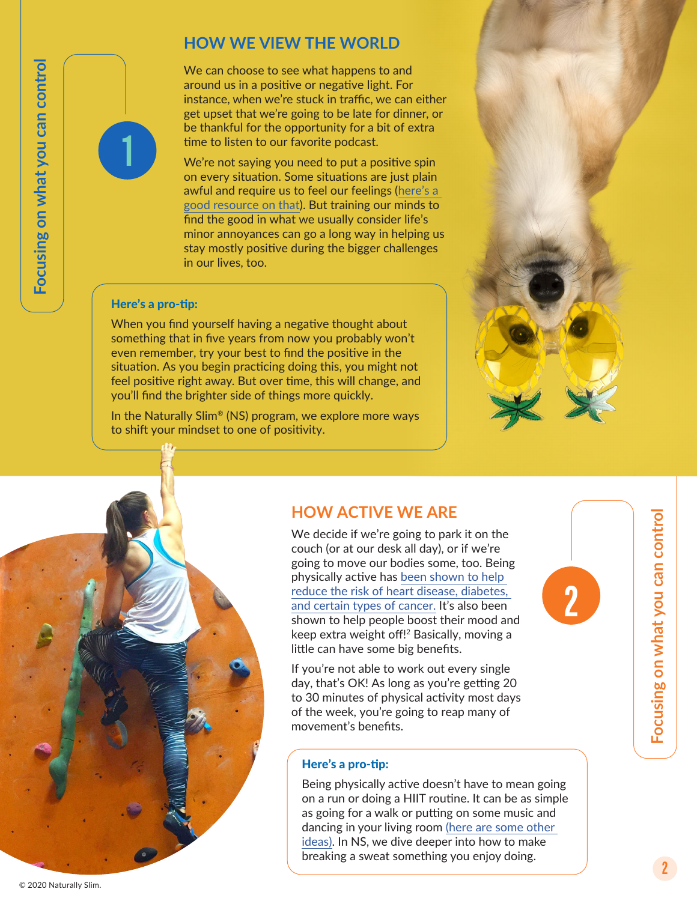# **HOW WE VIEW THE WORLD**

We can choose to see what happens to and around us in a positive or negative light. For instance, when we're stuck in traffic, we can either get upset that we're going to be late for dinner, or be thankful for the opportunity for a bit of extra time to listen to our favorite podcast.

We're not saying you need to put a positive spin on every situation. Some situations are just plain awful and require us to feel our feelings ([here's a](https://vimeo.com/403016755)  [good resource on that](https://vimeo.com/403016755)). But training our minds to find the good in what we usually consider life's minor annoyances can go a long way in helping us stay mostly positive during the bigger challenges in our lives, too.

#### Here's a pro-tip:

**1**

When you find yourself having a negative thought about something that in five years from now you probably won't even remember, try your best to find the positive in the situation. As you begin practicing doing this, you might not feel positive right away. But over time, this will change, and you'll find the brighter side of things more quickly.

In the Naturally Slim® (NS) program, we explore more ways to shift your mindset to one of positivity.



**2**

## **HOW ACTIVE WE ARE**

We decide if we're going to park it on the couch (or at our desk all day), or if we're going to move our bodies some, too. Being physically active has [been shown to help](https://www.cdc.gov/physicalactivity/basics/pa-health/index.htm)  [reduce the risk of heart disease, diabetes,](https://www.cdc.gov/physicalactivity/basics/pa-health/index.htm)  [and certain types of cancer.](https://www.cdc.gov/physicalactivity/basics/pa-health/index.htm) It's also been shown to help people boost their mood and keep extra weight off!2 Basically, moving a little can have some big benefits.

If you're not able to work out every single day, that's OK! As long as you're getting 20 to 30 minutes of physical activity most days of the week, you're going to reap many of movement's benefits.

### Here's a pro-tip:

Being physically active doesn't have to mean going on a run or doing a HIIT routine. It can be as simple as going for a walk or putting on some music and dancing in your living room [\(here are some other](https://www.naturallyslim.com/blog/don-t-fret-break-a-sweat)  [ideas\).](https://www.naturallyslim.com/blog/don-t-fret-break-a-sweat) In NS, we dive deeper into how to make breaking a sweat something you enjoy doing.

Focusing on what you can control **Focusing on what you can control**